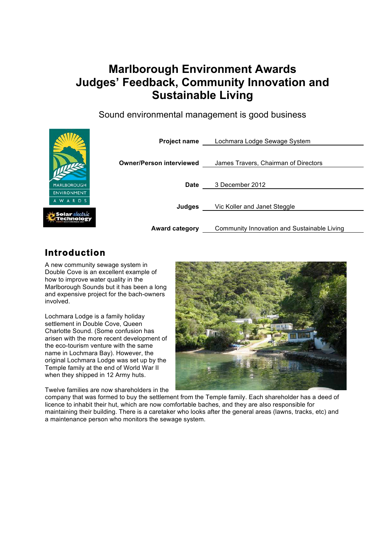# **Marlborough Environment Awards Judges' Feedback, Community Innovation and Sustainable Living**

Sound environmental management is good business



# **Introduction**

A new community sewage system in Double Cove is an excellent example of how to improve water quality in the Marlborough Sounds but it has been a long and expensive project for the bach-owners involved.

Lochmara Lodge is a family holiday settlement in Double Cove, Queen Charlotte Sound. (Some confusion has arisen with the more recent development of the eco-tourism venture with the same name in Lochmara Bay). However, the original Lochmara Lodge was set up by the Temple family at the end of World War II when they shipped in 12 Army huts.

Twelve families are now shareholders in the



company that was formed to buy the settlement from the Temple family. Each shareholder has a deed of licence to inhabit their hut, which are now comfortable baches, and they are also responsible for maintaining their building. There is a caretaker who looks after the general areas (lawns, tracks, etc) and a maintenance person who monitors the sewage system.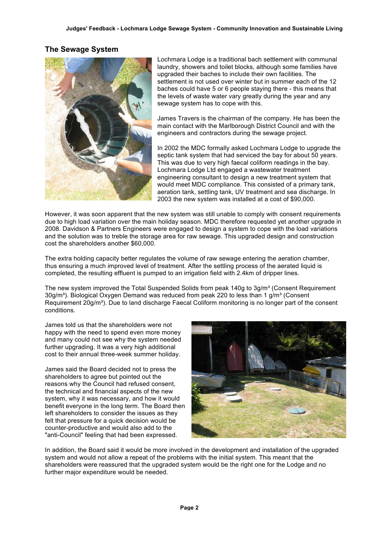# **The Sewage System**



Lochmara Lodge is a traditional bach settlement with communal laundry, showers and toilet blocks, although some families have upgraded their baches to include their own facilities. The settlement is not used over winter but in summer each of the 12 baches could have 5 or 6 people staying there - this means that the levels of waste water vary greatly during the year and any sewage system has to cope with this.

James Travers is the chairman of the company. He has been the main contact with the Marlborough District Council and with the engineers and contractors during the sewage project.

In 2002 the MDC formally asked Lochmara Lodge to upgrade the septic tank system that had serviced the bay for about 50 years. This was due to very high faecal coliform readings in the bay. Lochmara Lodge Ltd engaged a wastewater treatment engineering consultant to design a new treatment system that would meet MDC compliance. This consisted of a primary tank, aeration tank, settling tank, UV treatment and sea discharge. In 2003 the new system was installed at a cost of \$90,000.

However, it was soon apparent that the new system was still unable to comply with consent requirements due to high load variation over the main holiday season. MDC therefore requested yet another upgrade in 2008. Davidson & Partners Engineers were engaged to design a system to cope with the load variations and the solution was to treble the storage area for raw sewage. This upgraded design and construction cost the shareholders another \$60,000.

The extra holding capacity better regulates the volume of raw sewage entering the aeration chamber, thus ensuring a much improved level of treatment. After the settling process of the aerated liquid is completed, the resulting effluent is pumped to an irrigation field with 2.4km of dripper lines.

The new system improved the Total Suspended Solids from peak 140g to 3g/m<sup>3</sup> (Consent Requirement 30g/m<sup>3</sup>). Biological Oxygen Demand was reduced from peak 220 to less than 1 g/m<sup>3</sup> (Consent Requirement 20g/m<sup>3</sup>). Due to land discharge Faecal Coliform monitoring is no longer part of the consent conditions.

James told us that the shareholders were not happy with the need to spend even more money and many could not see why the system needed further upgrading. It was a very high additional cost to their annual three-week summer holiday.

James said the Board decided not to press the shareholders to agree but pointed out the reasons why the Council had refused consent, the technical and financial aspects of the new system, why it was necessary, and how it would benefit everyone in the long term. The Board then left shareholders to consider the issues as they felt that pressure for a quick decision would be counter-productive and would also add to the "anti-Council" feeling that had been expressed.



In addition, the Board said it would be more involved in the development and installation of the upgraded system and would not allow a repeat of the problems with the initial system. This meant that the shareholders were reassured that the upgraded system would be the right one for the Lodge and no further major expenditure would be needed.